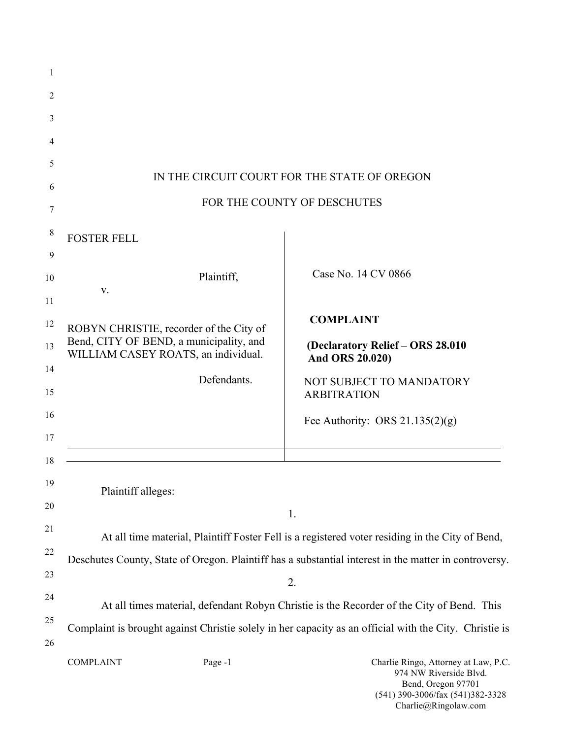| 1        |                                                                                                        |                             |                                                                                                                          |  |  |
|----------|--------------------------------------------------------------------------------------------------------|-----------------------------|--------------------------------------------------------------------------------------------------------------------------|--|--|
| 2        |                                                                                                        |                             |                                                                                                                          |  |  |
| 3        |                                                                                                        |                             |                                                                                                                          |  |  |
| 4        |                                                                                                        |                             |                                                                                                                          |  |  |
| 5        |                                                                                                        |                             |                                                                                                                          |  |  |
| 6        | IN THE CIRCUIT COURT FOR THE STATE OF OREGON                                                           |                             |                                                                                                                          |  |  |
| 7        |                                                                                                        | FOR THE COUNTY OF DESCHUTES |                                                                                                                          |  |  |
| 8        | <b>FOSTER FELL</b>                                                                                     |                             |                                                                                                                          |  |  |
| 9<br>10  |                                                                                                        | Plaintiff,                  | Case No. 14 CV 0866                                                                                                      |  |  |
| 11       | V.                                                                                                     |                             |                                                                                                                          |  |  |
| 12       | ROBYN CHRISTIE, recorder of the City of                                                                |                             | <b>COMPLAINT</b>                                                                                                         |  |  |
| 13       | Bend, CITY OF BEND, a municipality, and<br>WILLIAM CASEY ROATS, an individual.                         |                             | (Declaratory Relief - ORS 28.010<br>And ORS 20.020)                                                                      |  |  |
| 14<br>15 |                                                                                                        | Defendants.                 | NOT SUBJECT TO MANDATORY<br><b>ARBITRATION</b>                                                                           |  |  |
| 16       |                                                                                                        |                             | Fee Authority: ORS $21.135(2)(g)$                                                                                        |  |  |
| 17       |                                                                                                        |                             |                                                                                                                          |  |  |
| 18       |                                                                                                        |                             |                                                                                                                          |  |  |
| 19       | Plaintiff alleges:                                                                                     |                             |                                                                                                                          |  |  |
| 20       |                                                                                                        |                             | 1.                                                                                                                       |  |  |
| 21       | At all time material, Plaintiff Foster Fell is a registered voter residing in the City of Bend,        |                             |                                                                                                                          |  |  |
| 22       | Deschutes County, State of Oregon. Plaintiff has a substantial interest in the matter in controversy.  |                             |                                                                                                                          |  |  |
| 23       | 2.                                                                                                     |                             |                                                                                                                          |  |  |
| 24       | At all times material, defendant Robyn Christie is the Recorder of the City of Bend. This              |                             |                                                                                                                          |  |  |
| 25<br>26 | Complaint is brought against Christie solely in her capacity as an official with the City. Christie is |                             |                                                                                                                          |  |  |
|          | <b>COMPLAINT</b>                                                                                       | Page -1                     | Charlie Ringo, Attorney at Law, P.C.<br>974 NW Riverside Blvd.<br>Bend, Oregon 97701<br>(541) 390-3006/fax (541)382-3328 |  |  |

Charlie@Ringolaw.com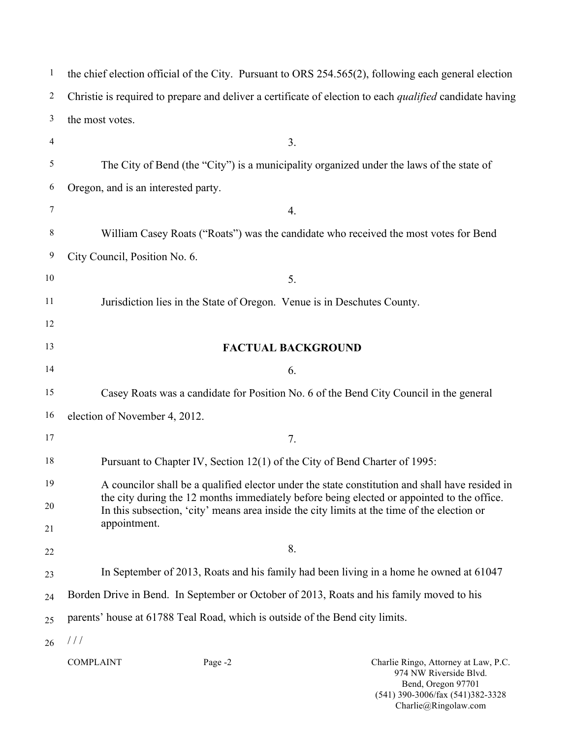| $\mathbf{1}$   | the chief election official of the City. Pursuant to ORS 254.565(2), following each general election                                                                                      |  |  |  |
|----------------|-------------------------------------------------------------------------------------------------------------------------------------------------------------------------------------------|--|--|--|
| $\overline{c}$ | Christie is required to prepare and deliver a certificate of election to each <i>qualified</i> candidate having                                                                           |  |  |  |
| 3              | the most votes.                                                                                                                                                                           |  |  |  |
| $\overline{4}$ | 3.                                                                                                                                                                                        |  |  |  |
| 5              | The City of Bend (the "City") is a municipality organized under the laws of the state of                                                                                                  |  |  |  |
| 6              | Oregon, and is an interested party.                                                                                                                                                       |  |  |  |
| 7              | 4.                                                                                                                                                                                        |  |  |  |
| 8              | William Casey Roats ("Roats") was the candidate who received the most votes for Bend                                                                                                      |  |  |  |
| 9              | City Council, Position No. 6.                                                                                                                                                             |  |  |  |
| 10             | 5.                                                                                                                                                                                        |  |  |  |
| 11             | Jurisdiction lies in the State of Oregon. Venue is in Deschutes County.                                                                                                                   |  |  |  |
| 12             |                                                                                                                                                                                           |  |  |  |
| 13             | <b>FACTUAL BACKGROUND</b>                                                                                                                                                                 |  |  |  |
| 14             | 6.                                                                                                                                                                                        |  |  |  |
| 15             | Casey Roats was a candidate for Position No. 6 of the Bend City Council in the general                                                                                                    |  |  |  |
| 16             | election of November 4, 2012.                                                                                                                                                             |  |  |  |
| 17             | 7.                                                                                                                                                                                        |  |  |  |
| 18             | Pursuant to Chapter IV, Section 12(1) of the City of Bend Charter of 1995:                                                                                                                |  |  |  |
| 19             | A councilor shall be a qualified elector under the state constitution and shall have resided in                                                                                           |  |  |  |
| 20             | the city during the 12 months immediately before being elected or appointed to the office.<br>In this subsection, 'city' means area inside the city limits at the time of the election or |  |  |  |
| 21             | appointment.                                                                                                                                                                              |  |  |  |
| 22             | 8.                                                                                                                                                                                        |  |  |  |
| 23             | In September of 2013, Roats and his family had been living in a home he owned at 61047                                                                                                    |  |  |  |
| 24             | Borden Drive in Bend. In September or October of 2013, Roats and his family moved to his                                                                                                  |  |  |  |
| 25             | parents' house at 61788 Teal Road, which is outside of the Bend city limits.                                                                                                              |  |  |  |
| 26             | $\frac{1}{2}$                                                                                                                                                                             |  |  |  |
|                | <b>COMPLAINT</b><br>Page -2<br>Charlie Ringo, Attorney at Law, P.C.<br>974 NW Riverside Blvd.                                                                                             |  |  |  |

Bend, Oregon 97701 (541) 390-3006/fax (541)382-3328 Charlie@Ringolaw.com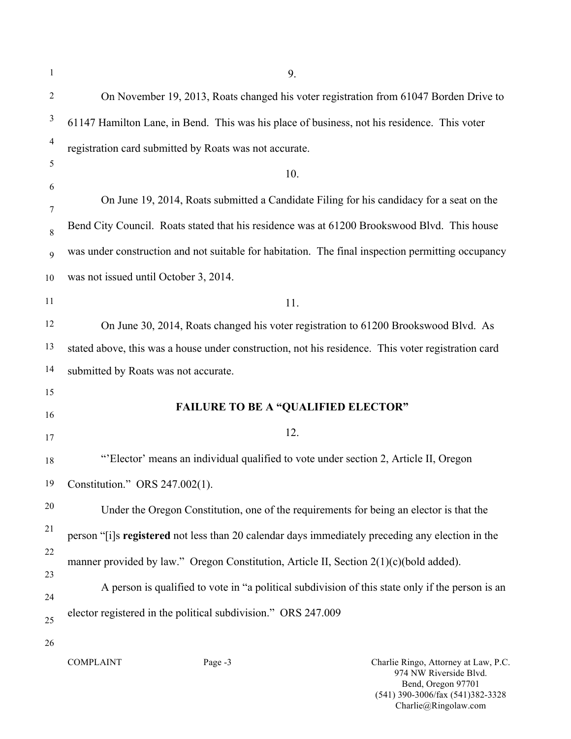| 1              | 9.                                                                                                 |  |  |  |  |
|----------------|----------------------------------------------------------------------------------------------------|--|--|--|--|
| $\overline{2}$ | On November 19, 2013, Roats changed his voter registration from 61047 Borden Drive to              |  |  |  |  |
| 3              | 61147 Hamilton Lane, in Bend. This was his place of business, not his residence. This voter        |  |  |  |  |
| 4              | registration card submitted by Roats was not accurate.                                             |  |  |  |  |
| 5              | 10.                                                                                                |  |  |  |  |
| 6              | On June 19, 2014, Roats submitted a Candidate Filing for his candidacy for a seat on the           |  |  |  |  |
| 7              | Bend City Council. Roats stated that his residence was at 61200 Brookswood Blvd. This house        |  |  |  |  |
| $\,$ 8 $\,$    | was under construction and not suitable for habitation. The final inspection permitting occupancy  |  |  |  |  |
| 9<br>10        | was not issued until October 3, 2014.                                                              |  |  |  |  |
| 11             |                                                                                                    |  |  |  |  |
| 12             | 11.                                                                                                |  |  |  |  |
|                | On June 30, 2014, Roats changed his voter registration to 61200 Brookswood Blvd. As                |  |  |  |  |
| 13             | stated above, this was a house under construction, not his residence. This voter registration card |  |  |  |  |
| 14             | submitted by Roats was not accurate.                                                               |  |  |  |  |
| 15             | <b>FAILURE TO BE A "QUALIFIED ELECTOR"</b>                                                         |  |  |  |  |
| 16             |                                                                                                    |  |  |  |  |
| 17             | 12.                                                                                                |  |  |  |  |
| 18             | "Elector' means an individual qualified to vote under section 2, Article II, Oregon                |  |  |  |  |
| 19             | Constitution." ORS 247.002(1).                                                                     |  |  |  |  |
| $20\,$         | Under the Oregon Constitution, one of the requirements for being an elector is that the            |  |  |  |  |
| 21             | person "[i]s registered not less than 20 calendar days immediately preceding any election in the   |  |  |  |  |
| 22             | manner provided by law." Oregon Constitution, Article II, Section $2(1)(c)(bold added)$ .          |  |  |  |  |
| 23             | A person is qualified to vote in "a political subdivision of this state only if the person is an   |  |  |  |  |
| 24             |                                                                                                    |  |  |  |  |
| 25             | elector registered in the political subdivision." ORS 247.009                                      |  |  |  |  |
| 26             | Charlie Ringo, Attorney at Law, P.C.<br><b>COMPLAINT</b><br>Page -3                                |  |  |  |  |
|                | 974 NW Riverside Blvd.<br>Bend, Oregon 97701<br>(541) 390-3006/fax (541)382-3328                   |  |  |  |  |

Charlie@Ringolaw.com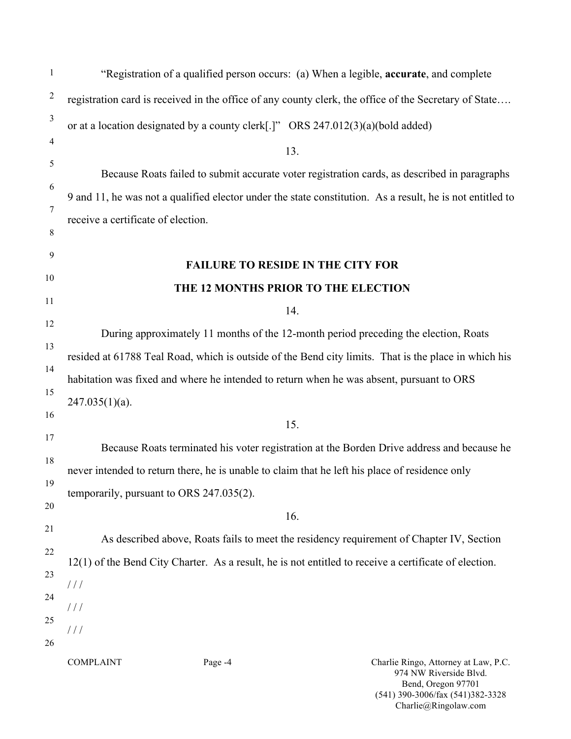| $\mathbf{1}$                                                                                     | "Registration of a qualified person occurs: (a) When a legible, <b>accurate</b> , and complete                                                                                                    |  |  |  |  |
|--------------------------------------------------------------------------------------------------|---------------------------------------------------------------------------------------------------------------------------------------------------------------------------------------------------|--|--|--|--|
| $\overline{2}$                                                                                   | registration card is received in the office of any county clerk, the office of the Secretary of State                                                                                             |  |  |  |  |
| $\mathfrak{Z}$                                                                                   | or at a location designated by a county clerk[.]" ORS 247.012(3)(a)(bold added)                                                                                                                   |  |  |  |  |
| 4                                                                                                | 13.                                                                                                                                                                                               |  |  |  |  |
| 5                                                                                                | Because Roats failed to submit accurate voter registration cards, as described in paragraphs                                                                                                      |  |  |  |  |
| 6                                                                                                | 9 and 11, he was not a qualified elector under the state constitution. As a result, he is not entitled to                                                                                         |  |  |  |  |
| 7                                                                                                | receive a certificate of election.                                                                                                                                                                |  |  |  |  |
| 8                                                                                                |                                                                                                                                                                                                   |  |  |  |  |
| 9                                                                                                | <b>FAILURE TO RESIDE IN THE CITY FOR</b>                                                                                                                                                          |  |  |  |  |
| 10                                                                                               | THE 12 MONTHS PRIOR TO THE ELECTION                                                                                                                                                               |  |  |  |  |
| 11<br>12                                                                                         | 14.                                                                                                                                                                                               |  |  |  |  |
| 13                                                                                               | During approximately 11 months of the 12-month period preceding the election, Roats                                                                                                               |  |  |  |  |
| 14                                                                                               | resided at 61788 Teal Road, which is outside of the Bend city limits. That is the place in which his                                                                                              |  |  |  |  |
| 15                                                                                               | habitation was fixed and where he intended to return when he was absent, pursuant to ORS                                                                                                          |  |  |  |  |
| 16                                                                                               | $247.035(1)(a)$ .                                                                                                                                                                                 |  |  |  |  |
| 17                                                                                               | 15.                                                                                                                                                                                               |  |  |  |  |
| Because Roats terminated his voter registration at the Borden Drive address and because he<br>18 |                                                                                                                                                                                                   |  |  |  |  |
| 19                                                                                               | never intended to return there, he is unable to claim that he left his place of residence only                                                                                                    |  |  |  |  |
| 20                                                                                               | temporarily, pursuant to ORS 247.035(2).                                                                                                                                                          |  |  |  |  |
| 21                                                                                               | 16.                                                                                                                                                                                               |  |  |  |  |
| 22                                                                                               | As described above, Roats fails to meet the residency requirement of Chapter IV, Section<br>12(1) of the Bend City Charter. As a result, he is not entitled to receive a certificate of election. |  |  |  |  |
| 23                                                                                               |                                                                                                                                                                                                   |  |  |  |  |
| 24                                                                                               | //                                                                                                                                                                                                |  |  |  |  |
| 25                                                                                               | //                                                                                                                                                                                                |  |  |  |  |
| 26                                                                                               | 111                                                                                                                                                                                               |  |  |  |  |
|                                                                                                  | <b>COMPLAINT</b><br>Page -4<br>Charlie Ringo, Attorney at Law, P.C.<br>974 NW Riverside Blvd.<br>Bend, Oregon 97701                                                                               |  |  |  |  |

(541) 390-3006/fax (541)382-3328 Charlie@Ringolaw.com